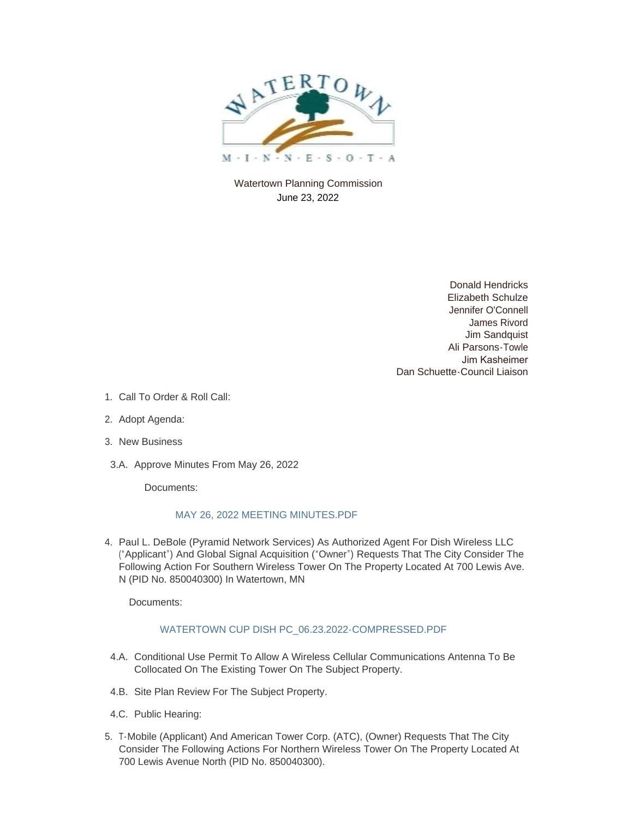

Watertown Planning Commission June 23, 2022

> Donald Hendricks Elizabeth Schulze Jennifer O'Connell James Rivord Jim Sandquist Ali Parsons-Towle Jim Kasheimer Dan Schuette-Council Liaison

- 1. Call To Order & Roll Call:
- 2. Adopt Agenda:
- 3. New Business
- 3.A. Approve Minutes From May 26, 2022

Documents:

## [MAY 26, 2022 MEETING MINUTES.PDF](https://www.watertownmn.gov/AgendaCenter/ViewFile/Item/2405?fileID=1869)

4. Paul L. DeBole (Pyramid Network Services) As Authorized Agent For Dish Wireless LLC ("Applicant") And Global Signal Acquisition ("Owner") Requests That The City Consider The Following Action For Southern Wireless Tower On The Property Located At 700 Lewis Ave. N (PID No. 850040300) In Watertown, MN

Documents:

## [WATERTOWN CUP DISH PC\\_06.23.2022-COMPRESSED.PDF](https://www.watertownmn.gov/AgendaCenter/ViewFile/Item/2406?fileID=1870)

- 4.A. Conditional Use Permit To Allow A Wireless Cellular Communications Antenna To Be Collocated On The Existing Tower On The Subject Property.
- 4.B. Site Plan Review For The Subject Property.
- 4.C. Public Hearing:
- 5. T-Mobile (Applicant) And American Tower Corp. (ATC), (Owner) Requests That The City Consider The Following Actions For Northern Wireless Tower On The Property Located At 700 Lewis Avenue North (PID No. 850040300).